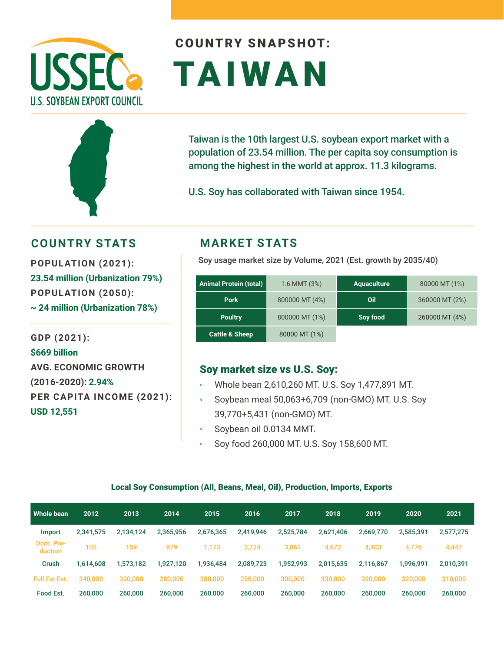



# COUNTRY SNAPSHOT: TAIWAN

Taiwan is the 10th largest U.S. soybean export market with a population of 23.54 million. The per capita soy consumption is among the highest in the world at approx. 11.3 kilograms.

U.S. Soy has collaborated with Taiwan since 1954.

## **COUNTRY STATS MARKET STATS**

**23.54 million (Urbanization 79%) POPULATION (2050): ~ 24 million (Urbanization 78%)** 

**GDP (2021): \$669 billion AVG. ECONOMIC GROWTH (2016-2020): 2.94% PER CAPITA INCOME (2021): USD 12,551**

Soy usage market size by Volume, 2021 (Est. growth by 2035/40) **POPULATION (2021):** 

| <b>Animal Protein (total)</b> | 1.6 MMT (3%)   | <b>Aquaculture</b> | 80000 MT (1%)  |
|-------------------------------|----------------|--------------------|----------------|
| <b>Pork</b>                   | 800000 MT (4%) | Oil                | 360000 MT (2%) |
| <b>Poultry</b>                | 800000 MT (1%) | Soy food           | 260000 MT (4%) |
| <b>Cattle &amp; Sheep</b>     | 80000 MT (1%)  |                    |                |

### Soy market size vs U.S. Soy:

- Whole bean 2,610,260 MT. U.S. Soy 1,477,891 MT.
- Soybean meal 50,063+6,709 (non-GMO) MT. U.S. Soy 39,770+5,431 (non-GMO) MT.
- Soybean oil 0.0134 MMT.
- Soy food 260,000 MT. U.S. Soy 158,600 MT.

#### Local Soy Consumption (All, Beans, Meal, Oil), Production, Imports, Exports

| Whole bean           | 2012      | 2013      | 2014      | 2015      | 2016      | 2017      | 2018      | 2019      | 2020      | 2021      |
|----------------------|-----------|-----------|-----------|-----------|-----------|-----------|-----------|-----------|-----------|-----------|
| Import               | 2,341,575 | 2,134,124 | 2,365,956 | 2,676,365 | 2,419,946 | 2,525,784 | 2,621,406 | 2,669,770 | 2,585,391 | 2,577,275 |
| Dom. Pro-<br>duction | 105       | 159       | 879       | 1.173     | 2.724     | 3,061     | 4.672     | 4,403     | 4.776     | 4,447     |
| Crush                | 1,614,608 | 1,573,182 | 1,927,120 | .936,484  | 2,089,723 | 1,952,993 | 2,015,635 | 2,116,867 | 1.996.991 | 2,010,391 |
| <b>Full Fat Est.</b> | 340,000   | 320,000   | 280,000   | 380,000   | 250,000   | 300,000   | 330,000   | 330,000   | 320,000   | 310,000   |
| Food Est.            | 260,000   | 260,000   | 260,000   | 260,000   | 260,000   | 260,000   | 260,000   | 260,000   | 260,000   | 260,000   |